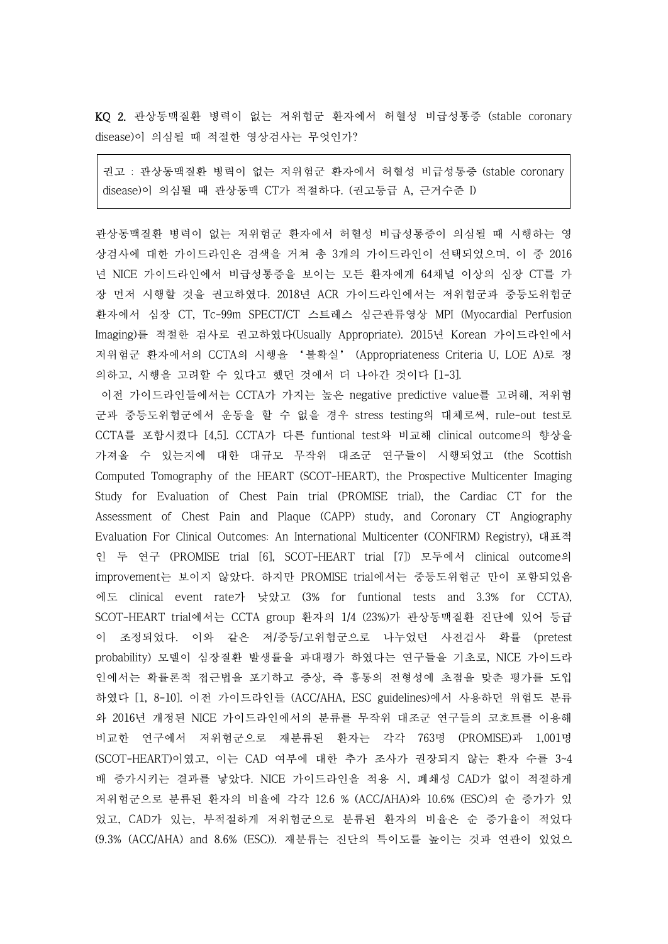KQ 2. 관상동맥질환 병력이 없는 저위험군 환자에서 허혈성 비급성통증 (stable coronary disease)이 의심될 때 적절한 영상검사는 무엇인가?

권고 : 관상동맥질환 병력이 없는 저위험군 환자에서 허혈성 비급성통증 (stable coronary disease)이 의심될 때 관상동맥 CT가 적절하다. (권고등급 A, 근거수준 I)

관상동맥질환 병력이 없는 저위험군 환자에서 허혈성 비급성통증이 의심될 때 시행하는 영 상검사에 대한 가이드라인은 검색을 거쳐 총 3개의 가이드라인이 선택되었으며, 이 중 2016 년 NICE 가이드라인에서 비급성통증을 보이는 모든 환자에게 64채널 이상의 심장 CT를 가 장 먼저 시행할 것을 권고하였다. 2018년 ACR 가이드라인에서는 저위험군과 중등도위험군 환자에서 심장 CT, Tc-99m SPECT/CT 스트레스 심근관류영상 MPI (Myocardial Perfusion Imaging)를 적절한 검사로 권고하였다(Usually Appropriate). 2015년 Korean 가이드라인에서 저위험군 환자에서의 CCTA의 시행을 '불확실' (Appropriateness Criteria U, LOE A)로 정 의하고, 시행을 고려할 수 있다고 했던 것에서 더 나아간 것이다 [1-3].

이전 가이드라인들에서는 CCTA가 가지는 높은 negative predictive value를 고려해, 저위험 군과 중등도위험군에서 운동을 할 수 없을 경우 stress testing의 대체로써, rule-out test로 CCTA를 포함시켰다 [4,5]. CCTA가 다른 funtional test와 비교해 clinical outcome의 향상을 가져올 수 있는지에 대한 대규모 무작위 대조군 연구들이 시행되었고 (the Scottish Computed Tomography of the HEART (SCOT-HEART), the Prospective Multicenter Imaging Study for Evaluation of Chest Pain trial (PROMISE trial), the Cardiac CT for the Assessment of Chest Pain and Plaque (CAPP) study, and Coronary CT Angiography Evaluation For Clinical Outcomes: An International Multicenter (CONFIRM) Registry), 대표적 인 두 연구 (PROMISE trial [6], SCOT-HEART trial [7]) 모두에서 clinical outcome의 improvement는 보이지 않았다. 하지만 PROMISE trial에서는 중등도위험군 만이 포함되었음 에도 clinical event rate가 낮았고 (3% for funtional tests and 3.3% for CCTA), SCOT-HEART trial에서는 CCTA group 환자의 1/4 (23%)가 관상동맥질환 진단에 있어 등급 이 조정되었다. 이와 같은 저/중등/고위험군으로 나누었던 사전검사 확률 (pretest probability) 모델이 심장질환 발생률을 과대평가 하였다는 연구들을 기초로, NICE 가이드라 인에서는 확률론적 접근법을 포기하고 증상, 즉 흉통의 전형성에 초점을 맞춘 평가를 도입 하였다 [1, 8-10]. 이전 가이드라인들 (ACC/AHA, ESC guidelines)에서 사용하던 위험도 분류 와 2016년 개정된 NICE 가이드라인에서의 분류를 무작위 대조군 연구들의 코호트를 이용해 비교한 연구에서 저위험군으로 재분류된 환자는 각각 763명 (PROMISE)과 1,001명 (SCOT-HEART)이였고, 이는 CAD 여부에 대한 추가 조사가 권장되지 않는 환자 수를 3~4 배 증가시키는 결과를 낳았다. NICE 가이드라인을 적용 시, 폐쇄성 CAD가 없이 적절하게 저위험군으로 분류된 환자의 비율에 각각 12.6 % (ACC/AHA)와 10.6% (ESC)의 순 증가가 있 었고, CAD가 있는, 부적절하게 저위험군으로 분류된 환자의 비율은 순 증가율이 적었다 (9.3% (ACC/AHA) and 8.6% (ESC)). 재분류는 진단의 특이도를 높이는 것과 연관이 있었으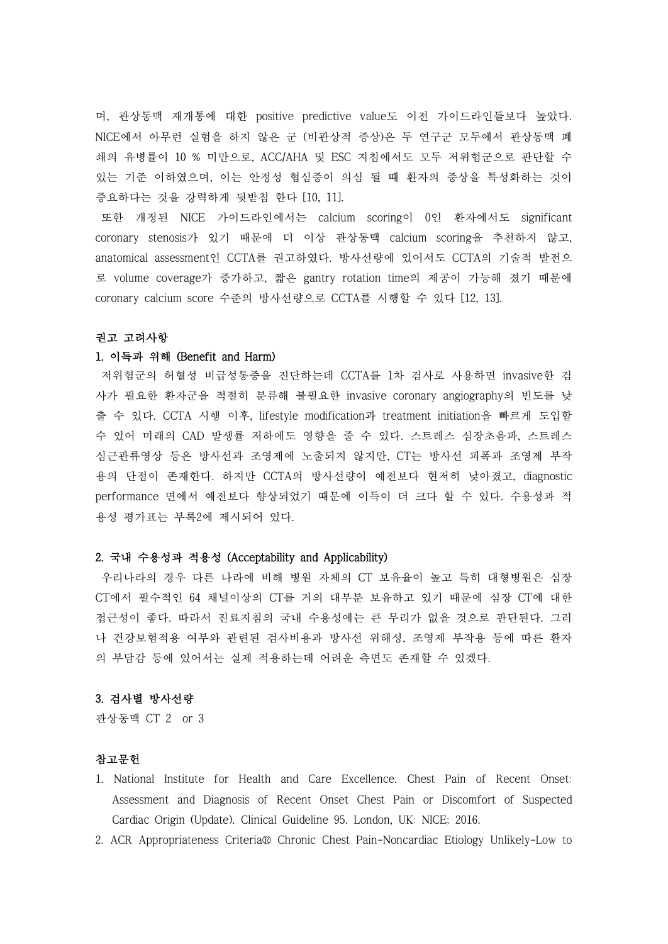며, 관상동맥 재개통에 대한 positive predictive value도 이전 가이드라인들보다 높았다.<br>NICE에서 아무런 실험을 하지 않은 군 (비관상적 증상)은 두 연구군 모두에서 관상동맥 폐 쇄의 유병률이 10 % 미만으로, ACC/AHA 및 ESC 지침에서도 모두 저위험군으로 판단할 수 있는 기준 이하였으며, 이는 안정성 협심증이 의심 될 때 환자의 증상을 특성화하는 것이 중요하다는 것을 강력하게 뒷받침 한다 [10, 11].

또한 개정된 NICE 가이드라인에서는 calcium scoring이 0인 환자에서도 significant coronary stenosis가 있기 때문에 더 이상 관상동맥 calcium scoring을 추천하지 않고, anatomical assessment인 CCTA를 권고하였다. 방사선량에 있어서도 CCTA의 기술적 발전으 로 volume coverage가 증가하고, 짧은 gantry rotation time의 제공이 가능해 졌기 때문에 coronary calcium score 수준의 방사선량으로 CCTA를 시행할 수 있다 [12, 13].

## 권고 고려사항

# 1. 이득과 위해 (Benefit and Harm)

저위험군의 허혈성 비급성통증을 진단하는데 CCTA를 1차 검사로 사용하면 invasive한 검 사가 필요한 환자군을 적절히 분류해 불필요한 invasive coronary angiography의 빈도를 낮 출 수 있다. CCTA 시행 이후, lifestyle modification과 treatment initiation을 빠르게 도입할 수 있어 미래의 CAD 발생률 저하에도 영향을 줄 수 있다. 스트레스 심장초음파, 스트레스 심근관류영상 등은 방사선과 조영제에 노출되지 않지만, CT는 방사선 피폭과 조영제 부작 용의 단점이 존재한다. 하지만 CCTA의 방사선량이 예전보다 현저히 낮아졌고, diagnostic performance 면에서 예전보다 향상되었기 때문에 이득이 더 크다 할 수 있다. 수용성과 적 용성 평가표는 부록2에 제시되어 있다.

### 2. 국내 수용성과 적용성 (Acceptability and Applicability)

우리나라의 경우 다른 나라에 비해 병원 자체의 CT 보유율이 높고 특히 대형병원은 심장 CT에서 필수적인 64 채널이상의 CT를 거의 대부분 보유하고 있기 때문에 심장 CT에 대한 접근성이 좋다. 따라서 진료지침의 국내 수용성에는 큰 무리가 없을 것으로 판단된다. 그러 나 건강보험적용 여부와 관련된 검사비용과 방사선 위해성, 조영제 부작용 등에 따른 환자 의 부담감 등에 있어서는 실제 적용하는데 어려운 측면도 존재할 수 있겠다.

#### 3. 검사별 방사선량

관상동맥 CT 2 or 3

## 참고문헌

- 1. National Institute for Health and Care Excellence. Chest Pain of Recent Onset: Assessment and Diagnosis of Recent Onset Chest Pain or Discomfort of Suspected Cardiac Origin (Update). Clinical Guideline 95. London, UK: NICE; 2016.
- 2. ACR Appropriateness Criteria® Chronic Chest Pain-Noncardiac Etiology Unlikely-Low to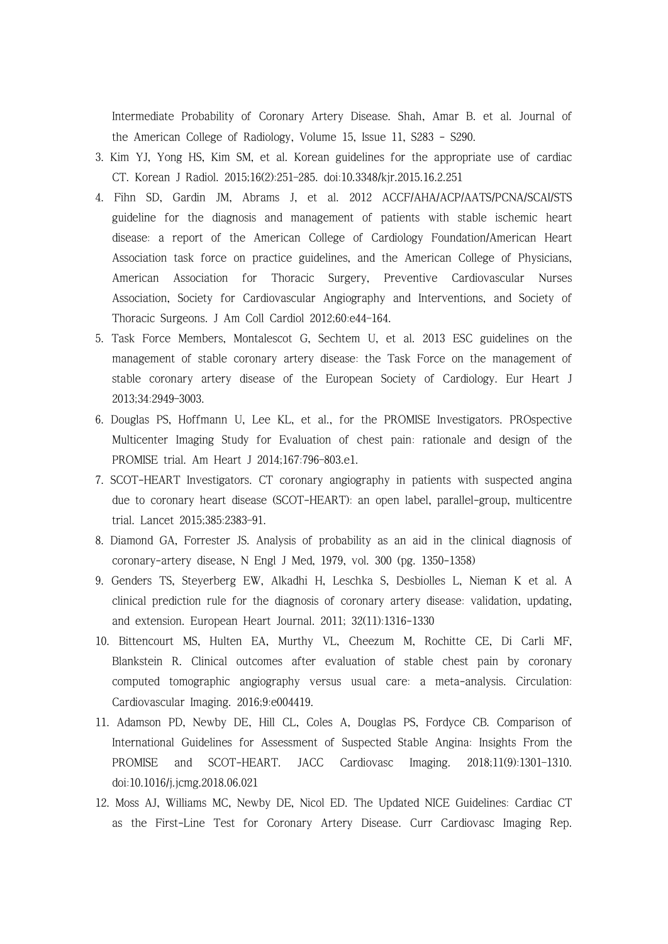Intermediate Probability of Coronary Artery Disease. Shah, Amar B. et al. Journal of the American College of Radiology, Volume 15, Issue 11, S283 - S290.

- 3. Kim YJ, Yong HS, Kim SM, et al. Korean guidelines for the appropriate use of cardiac CT. Korean J Radiol. 2015;16(2):251–285. doi:10.3348/kjr.2015.16.2.251
- 4. Fihn SD, Gardin JM, Abrams J, et al. 2012 ACCF/AHA/ACP/AATS/PCNA/SCAI/STS guideline for the diagnosis and management of patients with stable ischemic heart disease: a report of the American College of Cardiology Foundation/American Heart Association task force on practice guidelines, and the American College of Physicians, American Association for Thoracic Surgery, Preventive Cardiovascular Nurses Association, Society for Cardiovascular Angiography and Interventions, and Society of Thoracic Surgeons. J Am Coll Cardiol 2012;60:e44–164.
- 5. Task Force Members, Montalescot G, Sechtem U, et al. 2013 ESC guidelines on the management of stable coronary artery disease: the Task Force on the management of stable coronary artery disease of the European Society of Cardiology. Eur Heart J 2013;34:2949–3003.
- 6. Douglas PS, Hoffmann U, Lee KL, et al., for the PROMISE Investigators. PROspective Multicenter Imaging Study for Evaluation of chest pain: rationale and design of the PROMISE trial. Am Heart J 2014;167:796–803.e1.
- 7. SCOT-HEART Investigators. CT coronary angiography in patients with suspected angina due to coronary heart disease (SCOT-HEART): an open label, parallel-group, multicentre trial. Lancet 2015;385:2383–91.
- 8. Diamond GA, Forrester JS. Analysis of probability as an aid in the clinical diagnosis of coronary-artery disease, N Engl J Med, 1979, vol. 300 (pg. 1350-1358)
- 9. Genders TS, Steyerberg EW, Alkadhi H, Leschka S, Desbiolles L, Nieman K et al. A clinical prediction rule for the diagnosis of coronary artery disease: validation, updating, and extension. European Heart Journal. 2011; 32(11):1316-1330
- 10. Bittencourt MS, Hulten EA, Murthy VL, Cheezum M, Rochitte CE, Di Carli MF, Blankstein R. Clinical outcomes after evaluation of stable chest pain by coronary computed tomographic angiography versus usual care: a meta-analysis. Circulation: Cardiovascular Imaging. 2016;9:e004419.
- 11. Adamson PD, Newby DE, Hill CL, Coles A, Douglas PS, Fordyce CB. Comparison of International Guidelines for Assessment of Suspected Stable Angina: Insights From the PROMISE and SCOT-HEART. JACC Cardiovasc Imaging. 2018;11(9):1301–1310. doi:10.1016/j.jcmg.2018.06.021
- 12. Moss AJ, Williams MC, Newby DE, Nicol ED. The Updated NICE Guidelines: Cardiac CT as the First-Line Test for Coronary Artery Disease. Curr Cardiovasc Imaging Rep.